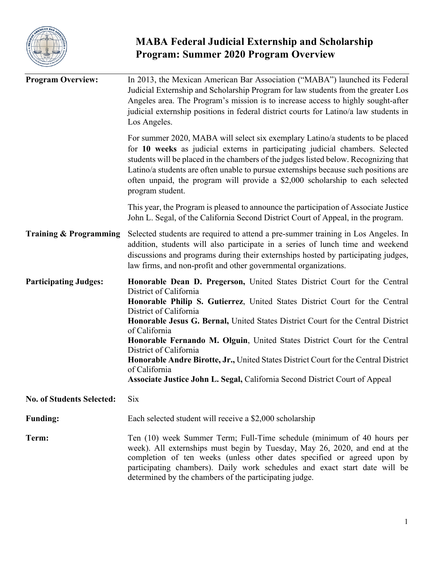

# **MABA Federal Judicial Externship and Scholarship Program: Summer 2020 Program Overview**

| <b>Program Overview:</b>          | In 2013, the Mexican American Bar Association ("MABA") launched its Federal<br>Judicial Externship and Scholarship Program for law students from the greater Los<br>Angeles area. The Program's mission is to increase access to highly sought-after<br>judicial externship positions in federal district courts for Latino/a law students in<br>Los Angeles.                                                                                                                                                                                                                                                    |  |
|-----------------------------------|------------------------------------------------------------------------------------------------------------------------------------------------------------------------------------------------------------------------------------------------------------------------------------------------------------------------------------------------------------------------------------------------------------------------------------------------------------------------------------------------------------------------------------------------------------------------------------------------------------------|--|
|                                   | For summer 2020, MABA will select six exemplary Latino/a students to be placed<br>for 10 weeks as judicial externs in participating judicial chambers. Selected<br>students will be placed in the chambers of the judges listed below. Recognizing that<br>Latino/a students are often unable to pursue externships because such positions are<br>often unpaid, the program will provide a \$2,000 scholarship to each selected<br>program student.                                                                                                                                                              |  |
|                                   | This year, the Program is pleased to announce the participation of Associate Justice<br>John L. Segal, of the California Second District Court of Appeal, in the program.                                                                                                                                                                                                                                                                                                                                                                                                                                        |  |
| <b>Training &amp; Programming</b> | Selected students are required to attend a pre-summer training in Los Angeles. In<br>addition, students will also participate in a series of lunch time and weekend<br>discussions and programs during their externships hosted by participating judges,<br>law firms, and non-profit and other governmental organizations.                                                                                                                                                                                                                                                                                      |  |
| <b>Participating Judges:</b>      | Honorable Dean D. Pregerson, United States District Court for the Central<br>District of California<br>Honorable Philip S. Gutierrez, United States District Court for the Central<br>District of California<br>Honorable Jesus G. Bernal, United States District Court for the Central District<br>of California<br>Honorable Fernando M. Olguin, United States District Court for the Central<br>District of California<br>Honorable Andre Birotte, Jr., United States District Court for the Central District<br>of California<br>Associate Justice John L. Segal, California Second District Court of Appeal |  |
| <b>No. of Students Selected:</b>  | Six                                                                                                                                                                                                                                                                                                                                                                                                                                                                                                                                                                                                              |  |
| <b>Funding:</b>                   | Each selected student will receive a \$2,000 scholarship                                                                                                                                                                                                                                                                                                                                                                                                                                                                                                                                                         |  |
| Term:                             | Ten (10) week Summer Term; Full-Time schedule (minimum of 40 hours per<br>week). All externships must begin by Tuesday, May 26, 2020, and end at the<br>completion of ten weeks (unless other dates specified or agreed upon by<br>participating chambers). Daily work schedules and exact start date will be<br>determined by the chambers of the participating judge.                                                                                                                                                                                                                                          |  |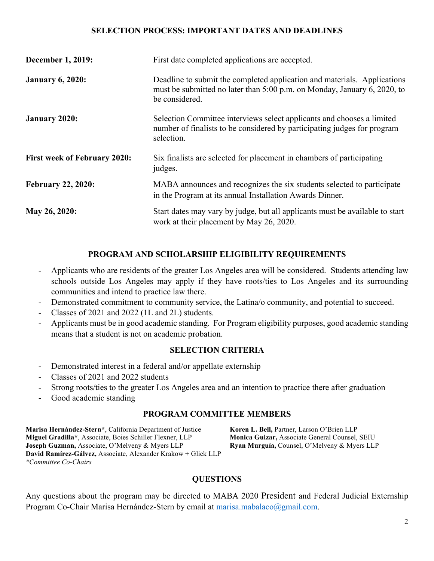### **SELECTION PROCESS: IMPORTANT DATES AND DEADLINES**

| <b>December 1, 2019:</b>            | First date completed applications are accepted.                                                                                                                        |  |
|-------------------------------------|------------------------------------------------------------------------------------------------------------------------------------------------------------------------|--|
| <b>January 6, 2020:</b>             | Deadline to submit the completed application and materials. Applications<br>must be submitted no later than 5:00 p.m. on Monday, January 6, 2020, to<br>be considered. |  |
| <b>January 2020:</b>                | Selection Committee interviews select applicants and chooses a limited<br>number of finalists to be considered by participating judges for program<br>selection.       |  |
| <b>First week of February 2020:</b> | Six finalists are selected for placement in chambers of participating<br>judges.                                                                                       |  |
| <b>February 22, 2020:</b>           | MABA announces and recognizes the six students selected to participate<br>in the Program at its annual Installation Awards Dinner.                                     |  |
| May 26, 2020:                       | Start dates may vary by judge, but all applicants must be available to start<br>work at their placement by May 26, 2020.                                               |  |

## **PROGRAM AND SCHOLARSHIP ELIGIBILITY REQUIREMENTS**

- Applicants who are residents of the greater Los Angeles area will be considered. Students attending law schools outside Los Angeles may apply if they have roots/ties to Los Angeles and its surrounding communities and intend to practice law there.
- Demonstrated commitment to community service, the Latina/o community, and potential to succeed.
- Classes of 2021 and 2022 (1L and 2L) students.
- Applicants must be in good academic standing. For Program eligibility purposes, good academic standing means that a student is not on academic probation.

#### **SELECTION CRITERIA**

- Demonstrated interest in a federal and/or appellate externship
- Classes of 2021 and 2022 students
- Strong roots/ties to the greater Los Angeles area and an intention to practice there after graduation
- Good academic standing

#### **PROGRAM COMMITTEE MEMBERS**

**Marisa Hernández-Stern\***, California Department of Justice **Koren L. Bell,** Partner, Larson O'Brien LLP **Miguel Gradilla\***, Associate, Boies Schiller Flexner, LLP **Monica Guizar,** Associate General Counsel, SEIU **Joseph Guzman,** Associate, O'Melveny & Myers LLP **Ryan Murguía,** Counsel, O'Melveny & Myers LLP **David Ramírez-Gálvez,** Associate, Alexander Krakow + Glick LLP *\*Committee Co-Chairs*

#### **QUESTIONS**

Any questions about the program may be directed to MABA 2020 President and Federal Judicial Externship Program Co-Chair Marisa Hernández-Stern by email at marisa.mabalaco@gmail.com.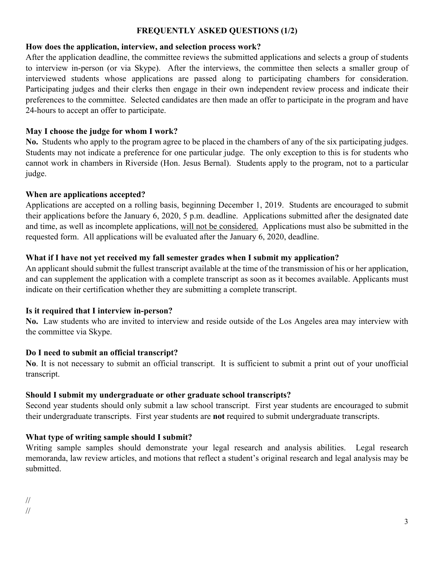#### **FREQUENTLY ASKED QUESTIONS (1/2)**

#### **How does the application, interview, and selection process work?**

After the application deadline, the committee reviews the submitted applications and selects a group of students to interview in-person (or via Skype). After the interviews, the committee then selects a smaller group of interviewed students whose applications are passed along to participating chambers for consideration. Participating judges and their clerks then engage in their own independent review process and indicate their preferences to the committee. Selected candidates are then made an offer to participate in the program and have 24-hours to accept an offer to participate.

#### **May I choose the judge for whom I work?**

**No.** Students who apply to the program agree to be placed in the chambers of any of the six participating judges. Students may not indicate a preference for one particular judge. The only exception to this is for students who cannot work in chambers in Riverside (Hon. Jesus Bernal). Students apply to the program, not to a particular judge.

#### **When are applications accepted?**

Applications are accepted on a rolling basis, beginning December 1, 2019. Students are encouraged to submit their applications before the January 6, 2020, 5 p.m. deadline. Applications submitted after the designated date and time, as well as incomplete applications, will not be considered. Applications must also be submitted in the requested form. All applications will be evaluated after the January 6, 2020, deadline.

#### **What if I have not yet received my fall semester grades when I submit my application?**

An applicant should submit the fullest transcript available at the time of the transmission of his or her application, and can supplement the application with a complete transcript as soon as it becomes available. Applicants must indicate on their certification whether they are submitting a complete transcript.

#### **Is it required that I interview in-person?**

**No.** Law students who are invited to interview and reside outside of the Los Angeles area may interview with the committee via Skype.

## **Do I need to submit an official transcript?**

**No**. It is not necessary to submit an official transcript. It is sufficient to submit a print out of your unofficial transcript.

## **Should I submit my undergraduate or other graduate school transcripts?**

Second year students should only submit a law school transcript. First year students are encouraged to submit their undergraduate transcripts. First year students are **not** required to submit undergraduate transcripts.

## **What type of writing sample should I submit?**

Writing sample samples should demonstrate your legal research and analysis abilities. Legal research memoranda, law review articles, and motions that reflect a student's original research and legal analysis may be submitted.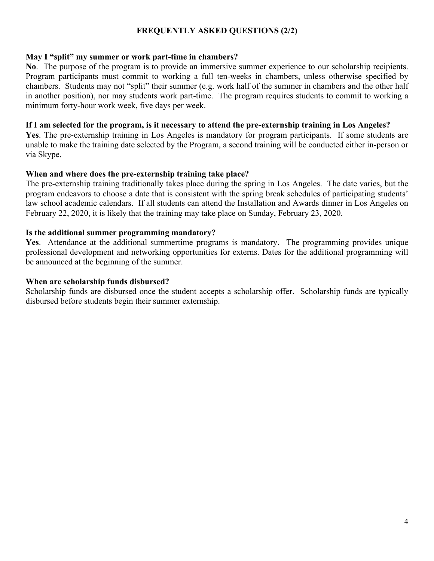#### **FREQUENTLY ASKED QUESTIONS (2/2)**

#### **May I "split" my summer or work part-time in chambers?**

**No**. The purpose of the program is to provide an immersive summer experience to our scholarship recipients. Program participants must commit to working a full ten-weeks in chambers, unless otherwise specified by chambers. Students may not "split" their summer (e.g. work half of the summer in chambers and the other half in another position), nor may students work part-time. The program requires students to commit to working a minimum forty-hour work week, five days per week.

#### **If I am selected for the program, is it necessary to attend the pre-externship training in Los Angeles?**

**Yes**. The pre-externship training in Los Angeles is mandatory for program participants. If some students are unable to make the training date selected by the Program, a second training will be conducted either in-person or via Skype.

#### **When and where does the pre-externship training take place?**

The pre-externship training traditionally takes place during the spring in Los Angeles. The date varies, but the program endeavors to choose a date that is consistent with the spring break schedules of participating students' law school academic calendars. If all students can attend the Installation and Awards dinner in Los Angeles on February 22, 2020, it is likely that the training may take place on Sunday, February 23, 2020.

#### **Is the additional summer programming mandatory?**

**Yes**. Attendance at the additional summertime programs is mandatory. The programming provides unique professional development and networking opportunities for externs. Dates for the additional programming will be announced at the beginning of the summer.

#### **When are scholarship funds disbursed?**

Scholarship funds are disbursed once the student accepts a scholarship offer. Scholarship funds are typically disbursed before students begin their summer externship.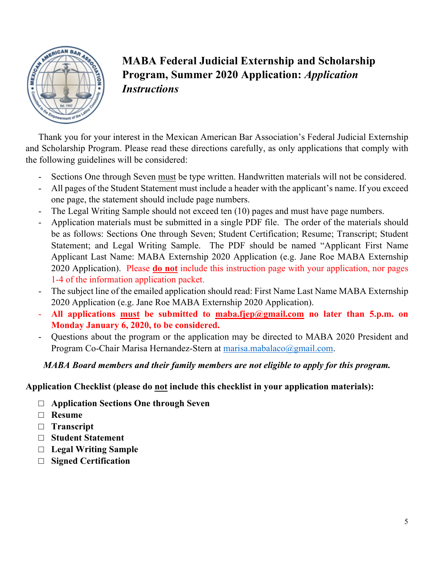

# **MABA Federal Judicial Externship and Scholarship Program, Summer 2020 Application:** *Application Instructions*

Thank you for your interest in the Mexican American Bar Association's Federal Judicial Externship and Scholarship Program. Please read these directions carefully, as only applications that comply with the following guidelines will be considered:

- Sections One through Seven must be type written. Handwritten materials will not be considered.
- All pages of the Student Statement must include a header with the applicant's name. If you exceed one page, the statement should include page numbers.
- The Legal Writing Sample should not exceed ten (10) pages and must have page numbers.
- Application materials must be submitted in a single PDF file. The order of the materials should be as follows: Sections One through Seven; Student Certification; Resume; Transcript; Student Statement; and Legal Writing Sample. The PDF should be named "Applicant First Name Applicant Last Name: MABA Externship 2020 Application (e.g. Jane Roe MABA Externship 2020 Application). Please **do not** include this instruction page with your application, nor pages 1-4 of the information application packet.
- The subject line of the emailed application should read: First Name Last Name MABA Externship 2020 Application (e.g. Jane Roe MABA Externship 2020 Application).
- **All applications must be submitted to maba.fjep@gmail.com no later than 5.p.m. on Monday January 6, 2020, to be considered.**
- Questions about the program or the application may be directed to MABA 2020 President and Program Co-Chair Marisa Hernandez-Stern at marisa.mabalaco@gmail.com.

## *MABA Board members and their family members are not eligible to apply for this program.*

## **Application Checklist (please do not include this checklist in your application materials):**

- □ **Application Sections One through Seven**
- □ **Resume**
- □ **Transcript**
- □ **Student Statement**
- □ **Legal Writing Sample**
- □ **Signed Certification**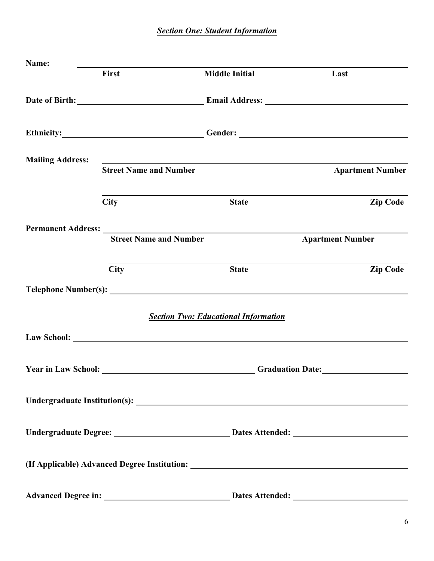*Section One: Student Information*

| Name:                   |                                                                                                                                                                                                                                                                 |                                                                                                                 |                                                                                                                                                                                                                                    |
|-------------------------|-----------------------------------------------------------------------------------------------------------------------------------------------------------------------------------------------------------------------------------------------------------------|-----------------------------------------------------------------------------------------------------------------|------------------------------------------------------------------------------------------------------------------------------------------------------------------------------------------------------------------------------------|
|                         | First                                                                                                                                                                                                                                                           | <b>Middle Initial</b>                                                                                           | Last                                                                                                                                                                                                                               |
|                         |                                                                                                                                                                                                                                                                 |                                                                                                                 | <b>Email Address:</b> The state of the state of the state of the state of the state of the state of the state of the state of the state of the state of the state of the state of the state of the state of the state of the state |
|                         |                                                                                                                                                                                                                                                                 |                                                                                                                 | Ethnicity: Cender: Communication of the Communication of the Communication of the Communication of the Communication of the Communication of the Communication of the Communication of the Communication of the Communication      |
| <b>Mailing Address:</b> | <b>Street Name and Number</b>                                                                                                                                                                                                                                   | the contract of the contract of the contract of the contract of the contract of the contract of the contract of | <b>Apartment Number</b>                                                                                                                                                                                                            |
|                         | <b>City</b>                                                                                                                                                                                                                                                     | <b>State</b>                                                                                                    | <b>Zip Code</b>                                                                                                                                                                                                                    |
|                         | Permanent Address: Lawrence and Section 2014 and 2015 and 2016 and 2017 and 2017 and 2017 and 2017 and 2017 and 2017 and 2017 and 2017 and 2017 and 2017 and 2017 and 2017 and 2017 and 2017 and 2017 and 2017 and 2017 and 20<br><b>Street Name and Number</b> |                                                                                                                 | <b>Apartment Number</b>                                                                                                                                                                                                            |
|                         | <b>City</b>                                                                                                                                                                                                                                                     | <b>State</b>                                                                                                    | <b>Zip Code</b>                                                                                                                                                                                                                    |
|                         |                                                                                                                                                                                                                                                                 |                                                                                                                 |                                                                                                                                                                                                                                    |
|                         |                                                                                                                                                                                                                                                                 | <b>Section Two: Educational Information</b>                                                                     |                                                                                                                                                                                                                                    |
|                         |                                                                                                                                                                                                                                                                 |                                                                                                                 |                                                                                                                                                                                                                                    |
|                         |                                                                                                                                                                                                                                                                 | <b>The Vear in Law School:</b> Craduation Date:                                                                 |                                                                                                                                                                                                                                    |
|                         |                                                                                                                                                                                                                                                                 |                                                                                                                 |                                                                                                                                                                                                                                    |
|                         |                                                                                                                                                                                                                                                                 |                                                                                                                 |                                                                                                                                                                                                                                    |
|                         |                                                                                                                                                                                                                                                                 | (If Applicable) Advanced Degree Institution: ___________________________________                                |                                                                                                                                                                                                                                    |
|                         |                                                                                                                                                                                                                                                                 |                                                                                                                 |                                                                                                                                                                                                                                    |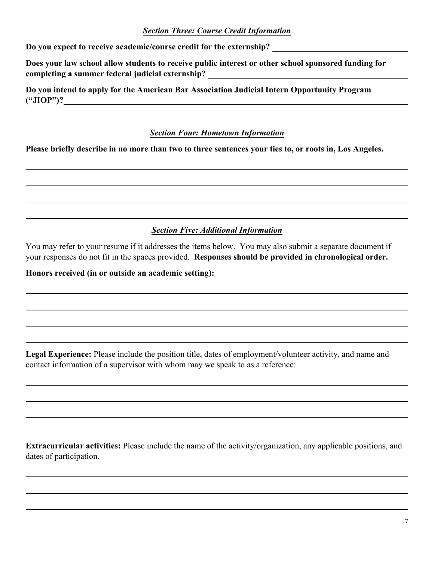## *Section Three: Course Credit Information*

**Do you expect to receive academic/course credit for the externship?** 

**Does your law school allow students to receive public interest or other school sponsored funding for completing a summer federal judicial externship?** 

**Do you intend to apply for the American Bar Association Judicial Intern Opportunity Program ("JIOP")?**

## *Section Four: Hometown Information*

**Please briefly describe in no more than two to three sentences your ties to, or roots in, Los Angeles.** 

## *Section Five: Additional Information*

You may refer to your resume if it addresses the items below. You may also submit a separate document if your responses do not fit in the spaces provided. **Responses should be provided in chronological order.** 

#### **Honors received (in or outside an academic setting):**

**Legal Experience:** Please include the position title, dates of employment/volunteer activity, and name and contact information of a supervisor with whom may we speak to as a reference:

**Extracurricular activities:** Please include the name of the activity/organization, any applicable positions, and dates of participation.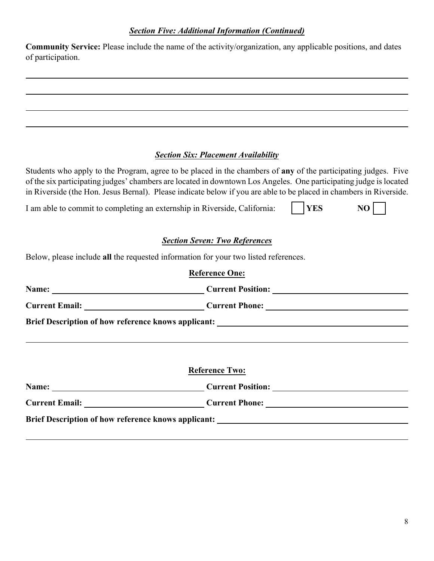**Community Service:** Please include the name of the activity/organization, any applicable positions, and dates of participation.

## *Section Six: Placement Availability*

Students who apply to the Program, agree to be placed in the chambers of **any** of the participating judges. Five of the six participating judges' chambers are located in downtown Los Angeles. One participating judge is located in Riverside (the Hon. Jesus Bernal). Please indicate below if you are able to be placed in chambers in Riverside.

I am able to commit to completing an externship in Riverside, California:  $\vert \cdot \vert$  **YES NO** 

## *Section Seven: Two References*

Below, please include **all** the requested information for your two listed references.

| <b>Reference One:</b>                                                             |  |
|-----------------------------------------------------------------------------------|--|
| Name: Current Position: Current Position:                                         |  |
|                                                                                   |  |
| Brief Description of how reference knows applicant: _____________________________ |  |
|                                                                                   |  |
|                                                                                   |  |
| <b>Reference Two:</b>                                                             |  |
|                                                                                   |  |
| Name: Current Position:                                                           |  |
| Current Email: Current Phone: Current Phone:                                      |  |
|                                                                                   |  |
|                                                                                   |  |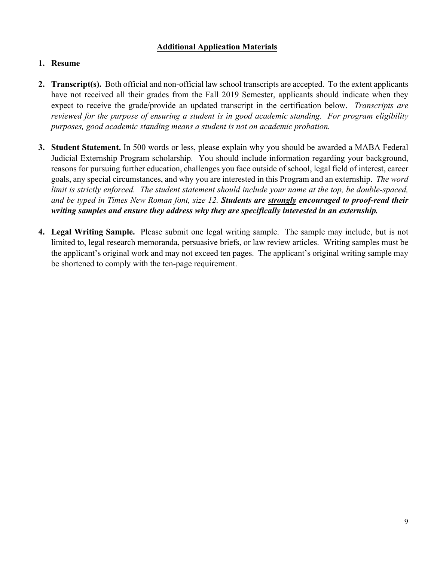## **Additional Application Materials**

### **1. Resume**

- **2. Transcript(s).** Both official and non-official law school transcripts are accepted. To the extent applicants have not received all their grades from the Fall 2019 Semester, applicants should indicate when they expect to receive the grade/provide an updated transcript in the certification below. *Transcripts are reviewed for the purpose of ensuring a student is in good academic standing. For program eligibility purposes, good academic standing means a student is not on academic probation.*
- **3. Student Statement.** In 500 words or less, please explain why you should be awarded a MABA Federal Judicial Externship Program scholarship. You should include information regarding your background, reasons for pursuing further education, challenges you face outside of school, legal field of interest, career goals, any special circumstances, and why you are interested in this Program and an externship. *The word limit is strictly enforced. The student statement should include your name at the top, be double-spaced, and be typed in Times New Roman font, size 12. Students are strongly encouraged to proof-read their writing samples and ensure they address why they are specifically interested in an externship.*
- **4. Legal Writing Sample.** Please submit one legal writing sample. The sample may include, but is not limited to, legal research memoranda, persuasive briefs, or law review articles. Writing samples must be the applicant's original work and may not exceed ten pages. The applicant's original writing sample may be shortened to comply with the ten-page requirement.